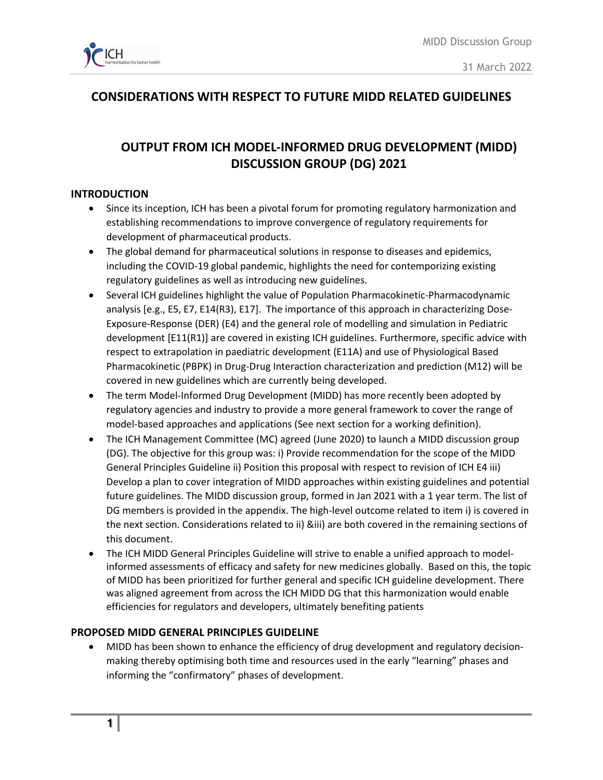

# **CONSIDERATIONS WITH RESPECT TO FUTURE MIDD RELATED GUIDELINES**

# **OUTPUT FROM ICH MODEL-INFORMED DRUG DEVELOPMENT (MIDD) DISCUSSION GROUP (DG) 2021**

### **INTRODUCTION**

- Since its inception, ICH has been a pivotal forum for promoting regulatory harmonization and establishing recommendations to improve convergence of regulatory requirements for development of pharmaceutical products.
- The global demand for pharmaceutical solutions in response to diseases and epidemics, including the COVID-19 global pandemic, highlights the need for contemporizing existing regulatory guidelines as well as introducing new guidelines.
- Several ICH guidelines highlight the value of Population Pharmacokinetic-Pharmacodynamic analysis [e.g., E5, E7, E14(R3), E17]. The importance of this approach in characterizing Dose-Exposure-Response (DER) (E4) and the general role of modelling and simulation in Pediatric development [E11(R1)] are covered in existing ICH guidelines. Furthermore, specific advice with respect to extrapolation in paediatric development (E11A) and use of Physiological Based Pharmacokinetic (PBPK) in Drug-Drug Interaction characterization and prediction (M12) will be covered in new guidelines which are currently being developed.
- The term Model-Informed Drug Development (MIDD) has more recently been adopted by regulatory agencies and industry to provide a more general framework to cover the range of model-based approaches and applications (See next section for a working definition).
- The ICH Management Committee (MC) agreed (June 2020) to launch a MIDD discussion group (DG). The objective for this group was: i) Provide recommendation for the scope of the MIDD General Principles Guideline ii) Position this proposal with respect to revision of ICH E4 iii) Develop a plan to cover integration of MIDD approaches within existing guidelines and potential future guidelines. The MIDD discussion group, formed in Jan 2021 with a 1 year term. The list of DG members is provided in the appendix. The high-level outcome related to item i) is covered in the next section. Considerations related to ii) &iii) are both covered in the remaining sections of this document.
- The ICH MIDD General Principles Guideline will strive to enable a unified approach to modelinformed assessments of efficacy and safety for new medicines globally. Based on this, the topic of MIDD has been prioritized for further general and specific ICH guideline development. There was aligned agreement from across the ICH MIDD DG that this harmonization would enable efficiencies for regulators and developers, ultimately benefiting patients

#### **PROPOSED MIDD GENERAL PRINCIPLES GUIDELINE**

• MIDD has been shown to enhance the efficiency of drug development and regulatory decisionmaking thereby optimising both time and resources used in the early "learning" phases and informing the "confirmatory" phases of development.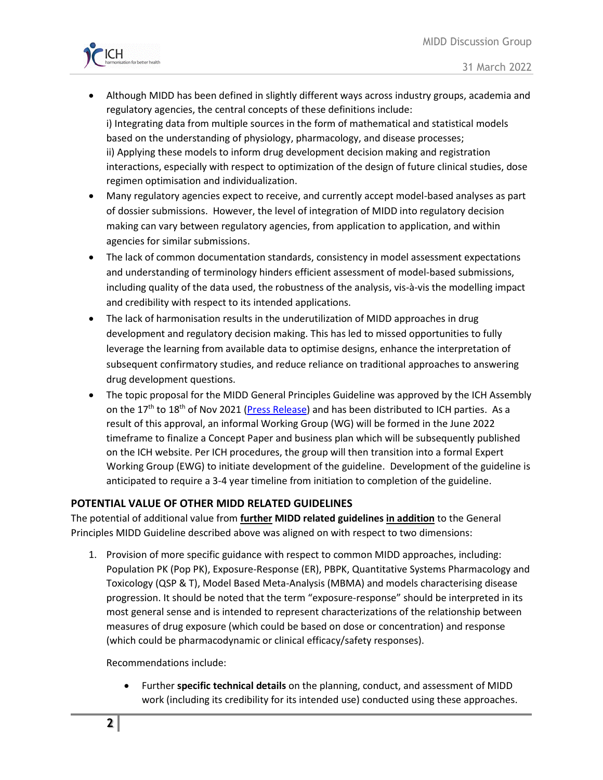

- Although MIDD has been defined in slightly different ways across industry groups, academia and regulatory agencies, the central concepts of these definitions include: i) Integrating data from multiple sources in the form of mathematical and statistical models based on the understanding of physiology, pharmacology, and disease processes; ii) Applying these models to inform drug development decision making and registration interactions, especially with respect to optimization of the design of future clinical studies, dose regimen optimisation and individualization.
- Many regulatory agencies expect to receive, and currently accept model-based analyses as part of dossier submissions. However, the level of integration of MIDD into regulatory decision making can vary between regulatory agencies, from application to application, and within agencies for similar submissions.
- The lack of common documentation standards, consistency in model assessment expectations and understanding of terminology hinders efficient assessment of model-based submissions, including quality of the data used, the robustness of the analysis, vis-à-vis the modelling impact and credibility with respect to its intended applications.
- The lack of harmonisation results in the underutilization of MIDD approaches in drug development and regulatory decision making. This has led to missed opportunities to fully leverage the learning from available data to optimise designs, enhance the interpretation of subsequent confirmatory studies, and reduce reliance on traditional approaches to answering drug development questions.
- The topic proposal for the MIDD General Principles Guideline was approved by the ICH Assembly on the  $17<sup>th</sup>$  to  $18<sup>th</sup>$  of Nov 2021 [\(Press Release\)](https://www.ich.org/pressrelease/press-release-ich-assembly-virtual-meeting-november-2021) and has been distributed to ICH parties. As a result of this approval, an informal Working Group (WG) will be formed in the June 2022 timeframe to finalize a Concept Paper and business plan which will be subsequently published on the ICH website. Per ICH procedures, the group will then transition into a formal Expert Working Group (EWG) to initiate development of the guideline. Development of the guideline is anticipated to require a 3-4 year timeline from initiation to completion of the guideline.

# **POTENTIAL VALUE OF OTHER MIDD RELATED GUIDELINES**

The potential of additional value from **further MIDD related guidelines in addition** to the General Principles MIDD Guideline described above was aligned on with respect to two dimensions:

1. Provision of more specific guidance with respect to common MIDD approaches, including: Population PK (Pop PK), Exposure-Response (ER), PBPK, Quantitative Systems Pharmacology and Toxicology (QSP & T), Model Based Meta-Analysis (MBMA) and models characterising disease progression. It should be noted that the term "exposure-response" should be interpreted in its most general sense and is intended to represent characterizations of the relationship between measures of drug exposure (which could be based on dose or concentration) and response (which could be pharmacodynamic or clinical efficacy/safety responses).

Recommendations include:

• Further **specific technical details** on the planning, conduct, and assessment of MIDD work (including its credibility for its intended use) conducted using these approaches.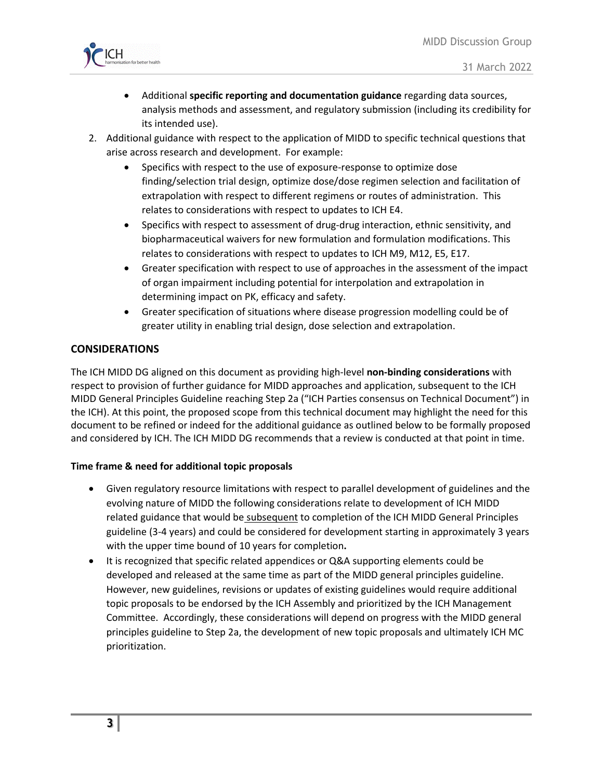

- Additional **specific reporting and documentation guidance** regarding data sources, analysis methods and assessment, and regulatory submission (including its credibility for its intended use).
- 2. Additional guidance with respect to the application of MIDD to specific technical questions that arise across research and development. For example:
	- Specifics with respect to the use of exposure-response to optimize dose finding/selection trial design, optimize dose/dose regimen selection and facilitation of extrapolation with respect to different regimens or routes of administration. This relates to considerations with respect to updates to ICH E4.
	- Specifics with respect to assessment of drug-drug interaction, ethnic sensitivity, and biopharmaceutical waivers for new formulation and formulation modifications. This relates to considerations with respect to updates to ICH M9, M12, E5, E17.
	- Greater specification with respect to use of approaches in the assessment of the impact of organ impairment including potential for interpolation and extrapolation in determining impact on PK, efficacy and safety.
	- Greater specification of situations where disease progression modelling could be of greater utility in enabling trial design, dose selection and extrapolation.

# **CONSIDERATIONS**

The ICH MIDD DG aligned on this document as providing high-level **non-binding considerations** with respect to provision of further guidance for MIDD approaches and application, subsequent to the ICH MIDD General Principles Guideline reaching Step 2a ("ICH Parties consensus on Technical Document") in the ICH). At this point, the proposed scope from this technical document may highlight the need for this document to be refined or indeed for the additional guidance as outlined below to be formally proposed and considered by ICH. The ICH MIDD DG recommends that a review is conducted at that point in time.

#### **Time frame & need for additional topic proposals**

- Given regulatory resource limitations with respect to parallel development of guidelines and the evolving nature of MIDD the following considerations relate to development of ICH MIDD related guidance that would be subsequent to completion of the ICH MIDD General Principles guideline (3-4 years) and could be considered for development starting in approximately 3 years with the upper time bound of 10 years for completion**.**
- It is recognized that specific related appendices or Q&A supporting elements could be developed and released at the same time as part of the MIDD general principles guideline. However, new guidelines, revisions or updates of existing guidelines would require additional topic proposals to be endorsed by the ICH Assembly and prioritized by the ICH Management Committee. Accordingly, these considerations will depend on progress with the MIDD general principles guideline to Step 2a, the development of new topic proposals and ultimately ICH MC prioritization.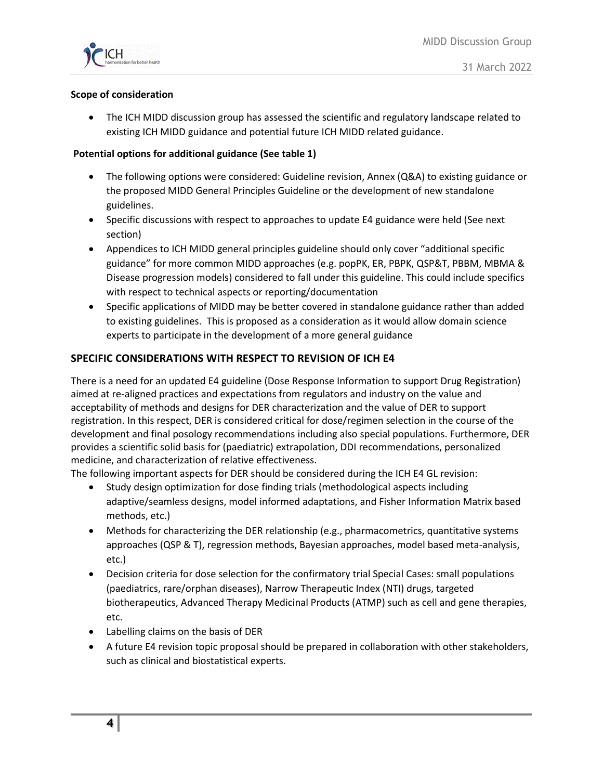

#### **Scope of consideration**

• The ICH MIDD discussion group has assessed the scientific and regulatory landscape related to existing ICH MIDD guidance and potential future ICH MIDD related guidance.

#### **Potential options for additional guidance (See table 1)**

- The following options were considered: Guideline revision, Annex (Q&A) to existing guidance or the proposed MIDD General Principles Guideline or the development of new standalone guidelines.
- Specific discussions with respect to approaches to update E4 guidance were held (See next section)
- Appendices to ICH MIDD general principles guideline should only cover "additional specific guidance" for more common MIDD approaches (e.g. popPK, ER, PBPK, QSP&T, PBBM, MBMA & Disease progression models) considered to fall under this guideline. This could include specifics with respect to technical aspects or reporting/documentation
- Specific applications of MIDD may be better covered in standalone guidance rather than added to existing guidelines. This is proposed as a consideration as it would allow domain science experts to participate in the development of a more general guidance

### **SPECIFIC CONSIDERATIONS WITH RESPECT TO REVISION OF ICH E4**

There is a need for an updated E4 guideline (Dose Response Information to support Drug Registration) aimed at re-aligned practices and expectations from regulators and industry on the value and acceptability of methods and designs for DER characterization and the value of DER to support registration. In this respect, DER is considered critical for dose/regimen selection in the course of the development and final posology recommendations including also special populations. Furthermore, DER provides a scientific solid basis for (paediatric) extrapolation, DDI recommendations, personalized medicine, and characterization of relative effectiveness.

The following important aspects for DER should be considered during the ICH E4 GL revision:

- Study design optimization for dose finding trials (methodological aspects including adaptive/seamless designs, model informed adaptations, and Fisher Information Matrix based methods, etc.)
- Methods for characterizing the DER relationship (e.g., pharmacometrics, quantitative systems approaches (QSP & T), regression methods, Bayesian approaches, model based meta-analysis, etc.)
- Decision criteria for dose selection for the confirmatory trial Special Cases: small populations (paediatrics, rare/orphan diseases), Narrow Therapeutic Index (NTI) drugs, targeted biotherapeutics, Advanced Therapy Medicinal Products (ATMP) such as cell and gene therapies, etc.
- Labelling claims on the basis of DER
- A future E4 revision topic proposal should be prepared in collaboration with other stakeholders, such as clinical and biostatistical experts.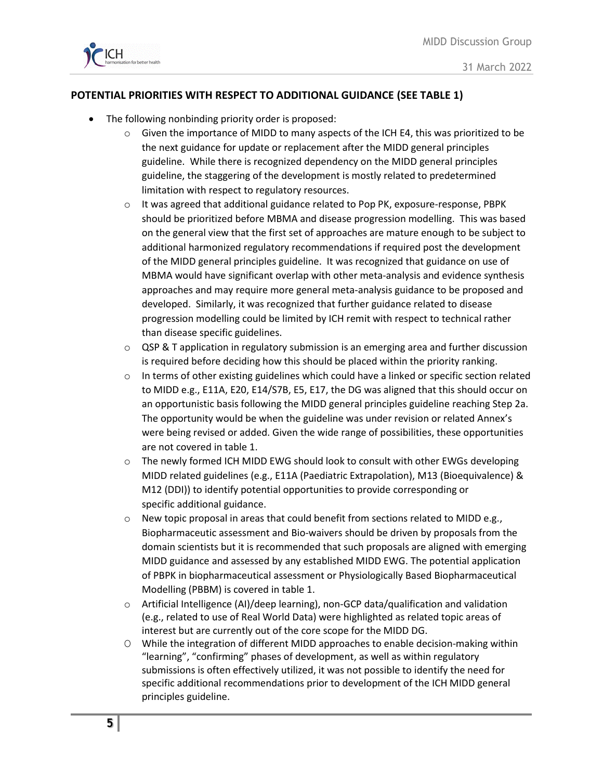

# **POTENTIAL PRIORITIES WITH RESPECT TO ADDITIONAL GUIDANCE (SEE TABLE 1)**

- The following nonbinding priority order is proposed:
	- $\circ$  Given the importance of MIDD to many aspects of the ICH E4, this was prioritized to be the next guidance for update or replacement after the MIDD general principles guideline. While there is recognized dependency on the MIDD general principles guideline, the staggering of the development is mostly related to predetermined limitation with respect to regulatory resources.
	- $\circ$  It was agreed that additional guidance related to Pop PK, exposure-response, PBPK should be prioritized before MBMA and disease progression modelling. This was based on the general view that the first set of approaches are mature enough to be subject to additional harmonized regulatory recommendations if required post the development of the MIDD general principles guideline. It was recognized that guidance on use of MBMA would have significant overlap with other meta-analysis and evidence synthesis approaches and may require more general meta-analysis guidance to be proposed and developed. Similarly, it was recognized that further guidance related to disease progression modelling could be limited by ICH remit with respect to technical rather than disease specific guidelines.
	- $\circ$  QSP & T application in regulatory submission is an emerging area and further discussion is required before deciding how this should be placed within the priority ranking.
	- $\circ$  In terms of other existing guidelines which could have a linked or specific section related to MIDD e.g., E11A, E20, E14/S7B, E5, E17, the DG was aligned that this should occur on an opportunistic basis following the MIDD general principles guideline reaching Step 2a. The opportunity would be when the guideline was under revision or related Annex's were being revised or added. Given the wide range of possibilities, these opportunities are not covered in table 1.
	- o The newly formed ICH MIDD EWG should look to consult with other EWGs developing MIDD related guidelines (e.g., E11A (Paediatric Extrapolation), M13 (Bioequivalence) & M12 (DDI)) to identify potential opportunities to provide corresponding or specific additional guidance.
	- $\circ$  New topic proposal in areas that could benefit from sections related to MIDD e.g., Biopharmaceutic assessment and Bio-waivers should be driven by proposals from the domain scientists but it is recommended that such proposals are aligned with emerging MIDD guidance and assessed by any established MIDD EWG. The potential application of PBPK in biopharmaceutical assessment or Physiologically Based Biopharmaceutical Modelling (PBBM) is covered in table 1.
	- o Artificial Intelligence (AI)/deep learning), non-GCP data/qualification and validation (e.g., related to use of Real World Data) were highlighted as related topic areas of interest but are currently out of the core scope for the MIDD DG.
	- O While the integration of different MIDD approaches to enable decision-making within "learning", "confirming" phases of development, as well as within regulatory submissions is often effectively utilized, it was not possible to identify the need for specific additional recommendations prior to development of the ICH MIDD general principles guideline.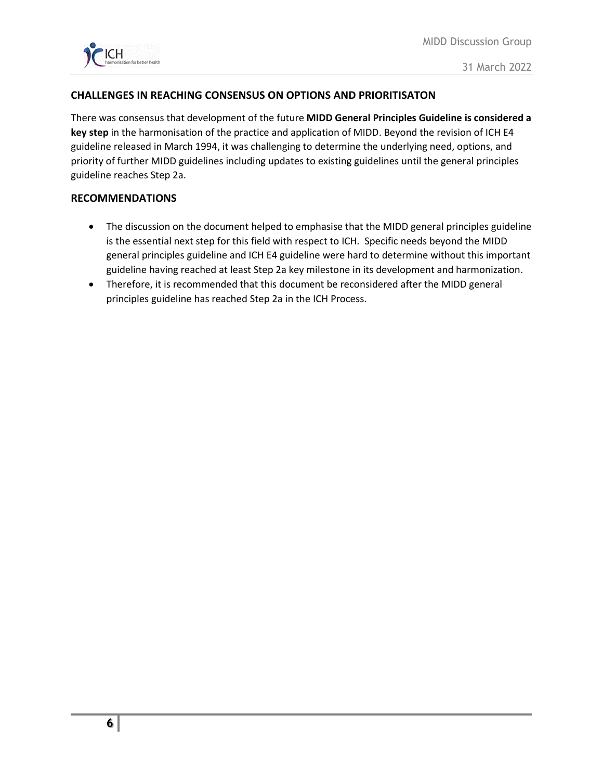

### **CHALLENGES IN REACHING CONSENSUS ON OPTIONS AND PRIORITISATON**

There was consensus that development of the future **MIDD General Principles Guideline is considered a key step** in the harmonisation of the practice and application of MIDD. Beyond the revision of ICH E4 guideline released in March 1994, it was challenging to determine the underlying need, options, and priority of further MIDD guidelines including updates to existing guidelines until the general principles guideline reaches Step 2a.

#### **RECOMMENDATIONS**

- The discussion on the document helped to emphasise that the MIDD general principles guideline is the essential next step for this field with respect to ICH. Specific needs beyond the MIDD general principles guideline and ICH E4 guideline were hard to determine without this important guideline having reached at least Step 2a key milestone in its development and harmonization.
- Therefore, it is recommended that this document be reconsidered after the MIDD general principles guideline has reached Step 2a in the ICH Process.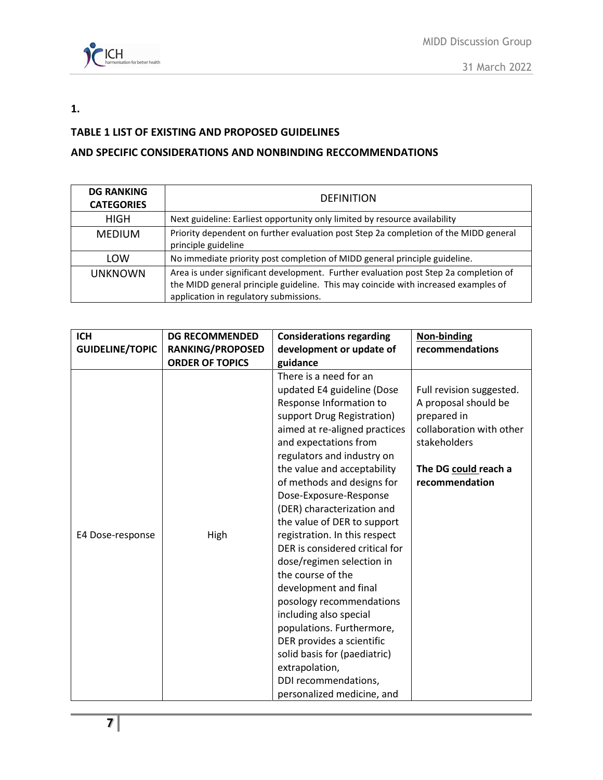

### **1.**

# **TABLE 1 LIST OF EXISTING AND PROPOSED GUIDELINES**

# **AND SPECIFIC CONSIDERATIONS AND NONBINDING RECCOMMENDATIONS**

| <b>DG RANKING</b><br><b>CATEGORIES</b> | <b>DEFINITION</b>                                                                                                                                                                                                    |
|----------------------------------------|----------------------------------------------------------------------------------------------------------------------------------------------------------------------------------------------------------------------|
| <b>HIGH</b>                            | Next guideline: Earliest opportunity only limited by resource availability                                                                                                                                           |
| <b>MEDIUM</b>                          | Priority dependent on further evaluation post Step 2a completion of the MIDD general<br>principle guideline                                                                                                          |
| LOW                                    | No immediate priority post completion of MIDD general principle guideline.                                                                                                                                           |
| <b>UNKNOWN</b>                         | Area is under significant development. Further evaluation post Step 2a completion of<br>the MIDD general principle guideline. This may coincide with increased examples of<br>application in regulatory submissions. |

| <b>ICH</b>             | <b>DG RECOMMENDED</b>   | <b>Considerations regarding</b>                                                                                                                                                                                                                                                                                                                                                                                                                                                                                                     | <b>Non-binding</b>                                                                                                                                    |
|------------------------|-------------------------|-------------------------------------------------------------------------------------------------------------------------------------------------------------------------------------------------------------------------------------------------------------------------------------------------------------------------------------------------------------------------------------------------------------------------------------------------------------------------------------------------------------------------------------|-------------------------------------------------------------------------------------------------------------------------------------------------------|
| <b>GUIDELINE/TOPIC</b> | <b>RANKING/PROPOSED</b> | development or update of                                                                                                                                                                                                                                                                                                                                                                                                                                                                                                            | recommendations                                                                                                                                       |
|                        | <b>ORDER OF TOPICS</b>  | guidance                                                                                                                                                                                                                                                                                                                                                                                                                                                                                                                            |                                                                                                                                                       |
| E4 Dose-response       | High                    | There is a need for an<br>updated E4 guideline (Dose<br>Response Information to<br>support Drug Registration)<br>aimed at re-aligned practices<br>and expectations from<br>regulators and industry on<br>the value and acceptability<br>of methods and designs for<br>Dose-Exposure-Response<br>(DER) characterization and<br>the value of DER to support<br>registration. In this respect<br>DER is considered critical for<br>dose/regimen selection in<br>the course of the<br>development and final<br>posology recommendations | Full revision suggested.<br>A proposal should be<br>prepared in<br>collaboration with other<br>stakeholders<br>The DG could reach a<br>recommendation |
|                        |                         | including also special<br>populations. Furthermore,                                                                                                                                                                                                                                                                                                                                                                                                                                                                                 |                                                                                                                                                       |
|                        |                         | DER provides a scientific                                                                                                                                                                                                                                                                                                                                                                                                                                                                                                           |                                                                                                                                                       |
|                        |                         | solid basis for (paediatric)                                                                                                                                                                                                                                                                                                                                                                                                                                                                                                        |                                                                                                                                                       |
|                        |                         | extrapolation,                                                                                                                                                                                                                                                                                                                                                                                                                                                                                                                      |                                                                                                                                                       |
|                        |                         | DDI recommendations,                                                                                                                                                                                                                                                                                                                                                                                                                                                                                                                |                                                                                                                                                       |
|                        |                         | personalized medicine, and                                                                                                                                                                                                                                                                                                                                                                                                                                                                                                          |                                                                                                                                                       |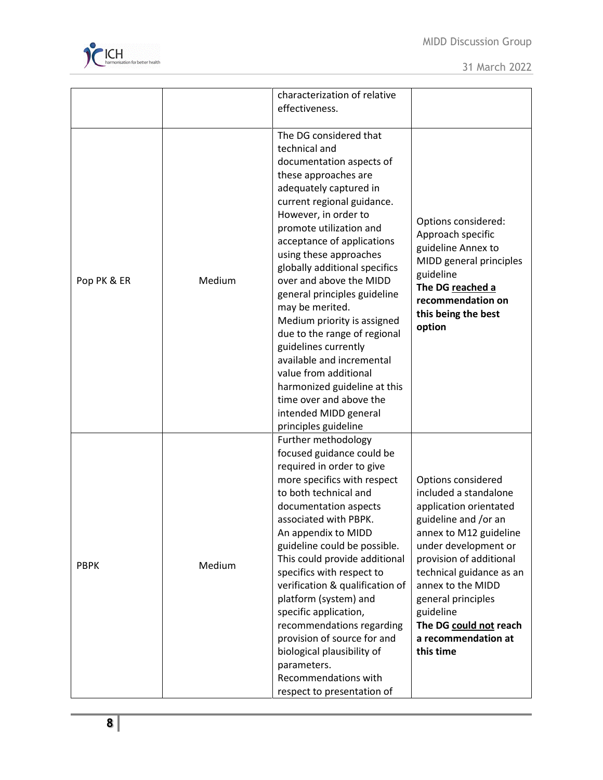

|             |        | characterization of relative                                                                                                                                                                                                                                                                                                                                                                                                                                                                                                                                     |                                                                                                                                                                                                                                                                                                                              |
|-------------|--------|------------------------------------------------------------------------------------------------------------------------------------------------------------------------------------------------------------------------------------------------------------------------------------------------------------------------------------------------------------------------------------------------------------------------------------------------------------------------------------------------------------------------------------------------------------------|------------------------------------------------------------------------------------------------------------------------------------------------------------------------------------------------------------------------------------------------------------------------------------------------------------------------------|
|             |        | effectiveness.                                                                                                                                                                                                                                                                                                                                                                                                                                                                                                                                                   |                                                                                                                                                                                                                                                                                                                              |
|             |        |                                                                                                                                                                                                                                                                                                                                                                                                                                                                                                                                                                  |                                                                                                                                                                                                                                                                                                                              |
| Pop PK & ER | Medium | The DG considered that<br>technical and<br>documentation aspects of<br>these approaches are<br>adequately captured in<br>current regional guidance.<br>However, in order to<br>promote utilization and<br>acceptance of applications<br>using these approaches<br>globally additional specifics<br>over and above the MIDD<br>general principles guideline<br>may be merited.                                                                                                                                                                                    | Options considered:<br>Approach specific<br>guideline Annex to<br>MIDD general principles<br>guideline<br>The DG reached a<br>recommendation on                                                                                                                                                                              |
|             |        | Medium priority is assigned<br>due to the range of regional<br>guidelines currently<br>available and incremental<br>value from additional<br>harmonized guideline at this<br>time over and above the<br>intended MIDD general<br>principles guideline                                                                                                                                                                                                                                                                                                            | this being the best<br>option                                                                                                                                                                                                                                                                                                |
| <b>PBPK</b> | Medium | Further methodology<br>focused guidance could be<br>required in order to give<br>more specifics with respect<br>to both technical and<br>documentation aspects<br>associated with PBPK.<br>An appendix to MIDD<br>guideline could be possible.<br>This could provide additional<br>specifics with respect to<br>verification & qualification of<br>platform (system) and<br>specific application,<br>recommendations regarding<br>provision of source for and<br>biological plausibility of<br>parameters.<br>Recommendations with<br>respect to presentation of | Options considered<br>included a standalone<br>application orientated<br>guideline and /or an<br>annex to M12 guideline<br>under development or<br>provision of additional<br>technical guidance as an<br>annex to the MIDD<br>general principles<br>guideline<br>The DG could not reach<br>a recommendation at<br>this time |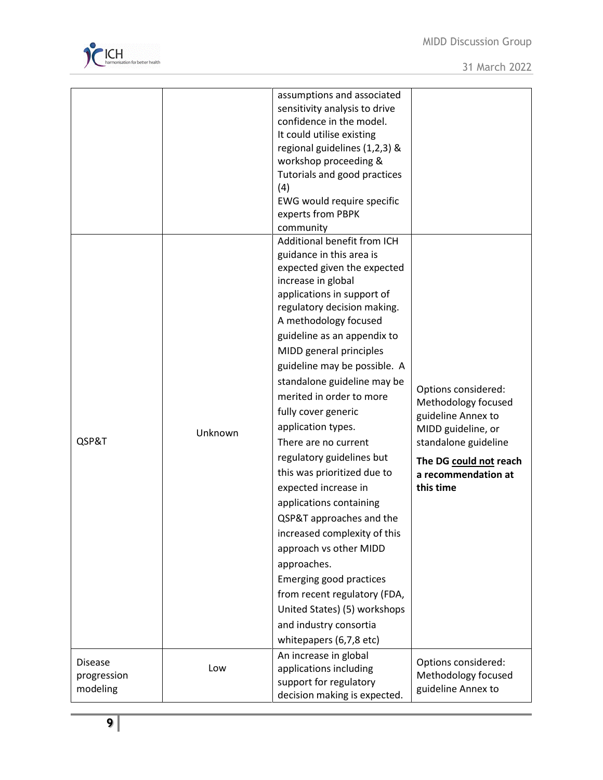

| QSP&T          | Unknown | assumptions and associated<br>sensitivity analysis to drive<br>confidence in the model.<br>It could utilise existing<br>regional guidelines (1,2,3) &<br>workshop proceeding &<br>Tutorials and good practices<br>(4)<br>EWG would require specific<br>experts from PBPK<br>community<br>Additional benefit from ICH<br>guidance in this area is<br>expected given the expected<br>increase in global<br>applications in support of<br>regulatory decision making.<br>A methodology focused<br>guideline as an appendix to<br>MIDD general principles<br>guideline may be possible. A<br>standalone guideline may be<br>merited in order to more<br>fully cover generic<br>application types.<br>There are no current<br>regulatory guidelines but<br>this was prioritized due to<br>expected increase in<br>applications containing<br>QSP&T approaches and the<br>increased complexity of this<br>approach vs other MIDD<br>approaches.<br>Emerging good practices<br>from recent regulatory (FDA, | Options considered:<br>Methodology focused<br>guideline Annex to<br>MIDD guideline, or<br>standalone guideline<br>The DG could not reach<br>a recommendation at<br>this time |
|----------------|---------|------------------------------------------------------------------------------------------------------------------------------------------------------------------------------------------------------------------------------------------------------------------------------------------------------------------------------------------------------------------------------------------------------------------------------------------------------------------------------------------------------------------------------------------------------------------------------------------------------------------------------------------------------------------------------------------------------------------------------------------------------------------------------------------------------------------------------------------------------------------------------------------------------------------------------------------------------------------------------------------------------|------------------------------------------------------------------------------------------------------------------------------------------------------------------------------|
|                |         | United States) (5) workshops                                                                                                                                                                                                                                                                                                                                                                                                                                                                                                                                                                                                                                                                                                                                                                                                                                                                                                                                                                         |                                                                                                                                                                              |
|                |         | and industry consortia                                                                                                                                                                                                                                                                                                                                                                                                                                                                                                                                                                                                                                                                                                                                                                                                                                                                                                                                                                               |                                                                                                                                                                              |
|                |         | whitepapers (6,7,8 etc)                                                                                                                                                                                                                                                                                                                                                                                                                                                                                                                                                                                                                                                                                                                                                                                                                                                                                                                                                                              |                                                                                                                                                                              |
|                |         |                                                                                                                                                                                                                                                                                                                                                                                                                                                                                                                                                                                                                                                                                                                                                                                                                                                                                                                                                                                                      |                                                                                                                                                                              |
| <b>Disease</b> | Low     | An increase in global<br>applications including                                                                                                                                                                                                                                                                                                                                                                                                                                                                                                                                                                                                                                                                                                                                                                                                                                                                                                                                                      | Options considered:                                                                                                                                                          |
| progression    |         |                                                                                                                                                                                                                                                                                                                                                                                                                                                                                                                                                                                                                                                                                                                                                                                                                                                                                                                                                                                                      | Methodology focused                                                                                                                                                          |
| modeling       |         | support for regulatory                                                                                                                                                                                                                                                                                                                                                                                                                                                                                                                                                                                                                                                                                                                                                                                                                                                                                                                                                                               | guideline Annex to                                                                                                                                                           |
|                |         | decision making is expected.                                                                                                                                                                                                                                                                                                                                                                                                                                                                                                                                                                                                                                                                                                                                                                                                                                                                                                                                                                         |                                                                                                                                                                              |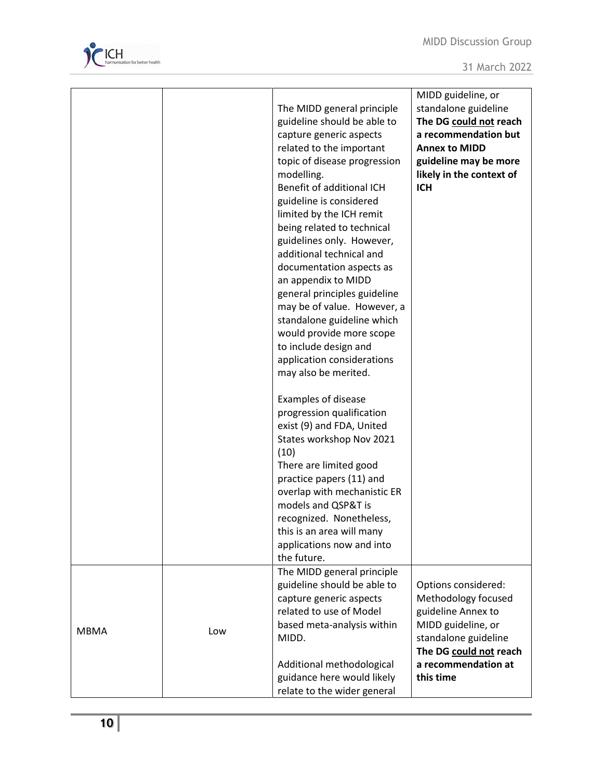

|             |     | The MIDD general principle<br>guideline should be able to<br>capture generic aspects<br>related to the important<br>topic of disease progression<br>modelling.<br>Benefit of additional ICH<br>guideline is considered<br>limited by the ICH remit<br>being related to technical<br>guidelines only. However,<br>additional technical and<br>documentation aspects as<br>an appendix to MIDD<br>general principles guideline<br>may be of value. However, a<br>standalone guideline which<br>would provide more scope<br>to include design and<br>application considerations<br>may also be merited.<br><b>Examples of disease</b><br>progression qualification<br>exist (9) and FDA, United<br>States workshop Nov 2021<br>(10)<br>There are limited good<br>practice papers (11) and<br>overlap with mechanistic ER<br>models and QSP&T is<br>recognized. Nonetheless,<br>this is an area will many<br>applications now and into | MIDD guideline, or<br>standalone guideline<br>The DG could not reach<br>a recommendation but<br><b>Annex to MIDD</b><br>guideline may be more<br>likely in the context of<br><b>ICH</b> |
|-------------|-----|------------------------------------------------------------------------------------------------------------------------------------------------------------------------------------------------------------------------------------------------------------------------------------------------------------------------------------------------------------------------------------------------------------------------------------------------------------------------------------------------------------------------------------------------------------------------------------------------------------------------------------------------------------------------------------------------------------------------------------------------------------------------------------------------------------------------------------------------------------------------------------------------------------------------------------|-----------------------------------------------------------------------------------------------------------------------------------------------------------------------------------------|
|             |     | the future.<br>The MIDD general principle                                                                                                                                                                                                                                                                                                                                                                                                                                                                                                                                                                                                                                                                                                                                                                                                                                                                                          |                                                                                                                                                                                         |
| <b>MBMA</b> | Low | guideline should be able to<br>capture generic aspects<br>related to use of Model<br>based meta-analysis within<br>MIDD.                                                                                                                                                                                                                                                                                                                                                                                                                                                                                                                                                                                                                                                                                                                                                                                                           | Options considered:<br>Methodology focused<br>guideline Annex to<br>MIDD guideline, or<br>standalone guideline<br>The DG could not reach                                                |
|             |     | Additional methodological<br>guidance here would likely<br>relate to the wider general                                                                                                                                                                                                                                                                                                                                                                                                                                                                                                                                                                                                                                                                                                                                                                                                                                             | a recommendation at<br>this time                                                                                                                                                        |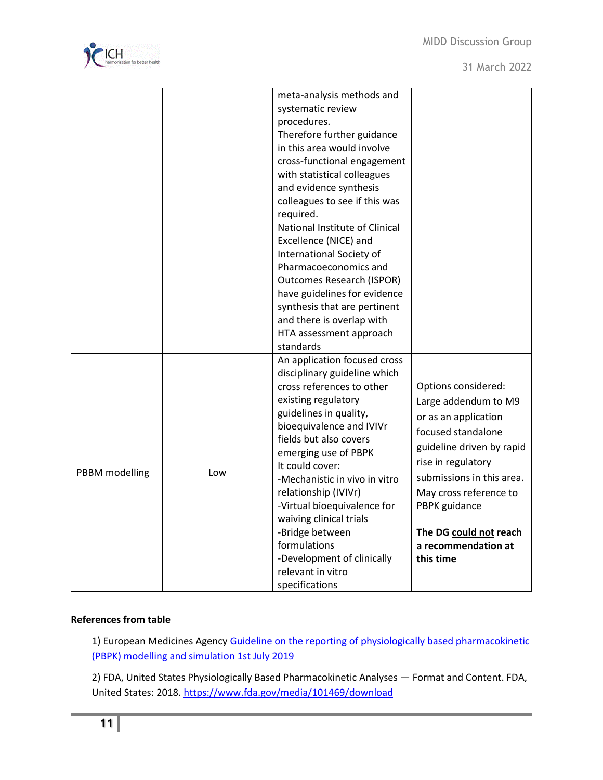

|                |     | meta-analysis methods and<br>systematic review<br>procedures.<br>Therefore further guidance<br>in this area would involve<br>cross-functional engagement<br>with statistical colleagues<br>and evidence synthesis<br>colleagues to see if this was<br>required.<br>National Institute of Clinical<br>Excellence (NICE) and<br>International Society of<br>Pharmacoeconomics and<br><b>Outcomes Research (ISPOR)</b> |                           |
|----------------|-----|---------------------------------------------------------------------------------------------------------------------------------------------------------------------------------------------------------------------------------------------------------------------------------------------------------------------------------------------------------------------------------------------------------------------|---------------------------|
|                |     | have guidelines for evidence                                                                                                                                                                                                                                                                                                                                                                                        |                           |
|                |     | synthesis that are pertinent                                                                                                                                                                                                                                                                                                                                                                                        |                           |
|                |     | and there is overlap with                                                                                                                                                                                                                                                                                                                                                                                           |                           |
|                |     | HTA assessment approach                                                                                                                                                                                                                                                                                                                                                                                             |                           |
|                |     | standards                                                                                                                                                                                                                                                                                                                                                                                                           |                           |
|                |     | An application focused cross                                                                                                                                                                                                                                                                                                                                                                                        |                           |
|                |     | disciplinary guideline which<br>cross references to other                                                                                                                                                                                                                                                                                                                                                           | Options considered:       |
|                |     | existing regulatory                                                                                                                                                                                                                                                                                                                                                                                                 |                           |
|                |     | guidelines in quality,                                                                                                                                                                                                                                                                                                                                                                                              | Large addendum to M9      |
|                |     | bioequivalence and IVIVr<br>fields but also covers<br>emerging use of PBPK                                                                                                                                                                                                                                                                                                                                          | or as an application      |
|                | Low |                                                                                                                                                                                                                                                                                                                                                                                                                     | focused standalone        |
|                |     |                                                                                                                                                                                                                                                                                                                                                                                                                     | guideline driven by rapid |
| PBBM modelling |     | It could cover:                                                                                                                                                                                                                                                                                                                                                                                                     | rise in regulatory        |
|                |     | -Mechanistic in vivo in vitro                                                                                                                                                                                                                                                                                                                                                                                       | submissions in this area. |
|                |     | relationship (IVIVr)<br>-Virtual bioequivalence for                                                                                                                                                                                                                                                                                                                                                                 | May cross reference to    |
|                |     | waiving clinical trials                                                                                                                                                                                                                                                                                                                                                                                             | PBPK guidance             |
|                |     | -Bridge between                                                                                                                                                                                                                                                                                                                                                                                                     | The DG could not reach    |
|                |     | formulations                                                                                                                                                                                                                                                                                                                                                                                                        | a recommendation at       |
|                |     | -Development of clinically                                                                                                                                                                                                                                                                                                                                                                                          | this time                 |
|                |     | relevant in vitro                                                                                                                                                                                                                                                                                                                                                                                                   |                           |
|                |     | specifications                                                                                                                                                                                                                                                                                                                                                                                                      |                           |

# **References from table**

1) European Medicines Agency Guideline on the reporting of physiologically based pharmacokinetic [\(PBPK\) modelling and simulation 1st July 2019](https://www.ema.europa.eu/en/documents/scientific-guideline/guideline-reporting-physiologically-based-pharmacokinetic-pbpk-modelling-simulation_en.pdf)

2) FDA, United States Physiologically Based Pharmacokinetic Analyses — Format and Content. FDA, United States: 2018[. https://www.fda.gov/media/101469/download](https://www.fda.gov/media/101469/download)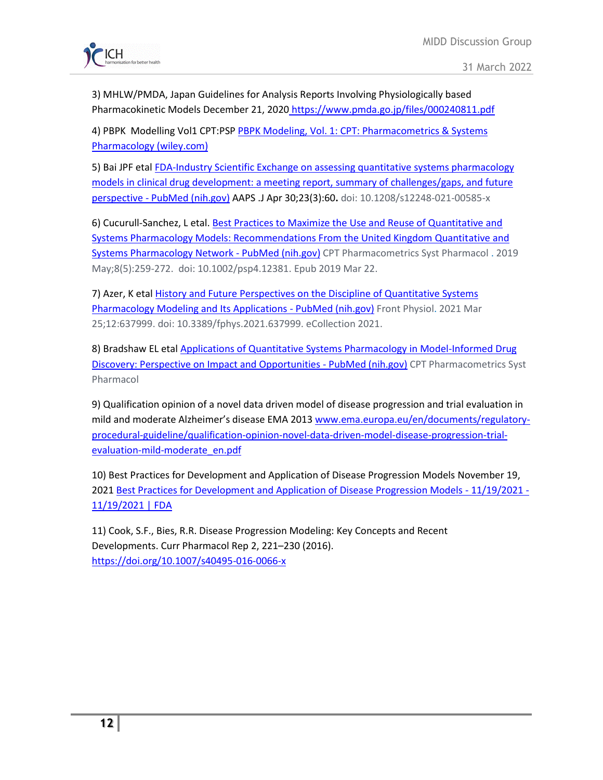

3) MHLW/PMDA, Japan Guidelines for Analysis Reports Involving Physiologically based Pharmacokinetic Models December 21, 2020 [https://www.pmda.go.jp/files/000240811.pdf](https://urldefense.com/v3/__https:/www.pmda.go.jp/files/000240811.pdf__;!!AoaiBx6H!jbwDmWQfhHX_gy2ehLCiUwA4m4CK9BBE7R1TERYmYftMhlYwQ5_-dv5RZV5PeT4Gm7M$)

4) PBPK Modelling Vol1 CPT:PS[P PBPK Modeling, Vol. 1: CPT: Pharmacometrics & Systems](https://ascpt.onlinelibrary.wiley.com/doi/toc/10.1002/(ISSN)2163-8306.PBPKModeling)  [Pharmacology \(wiley.com\)](https://ascpt.onlinelibrary.wiley.com/doi/toc/10.1002/(ISSN)2163-8306.PBPKModeling)

5) Bai JPF etal [FDA-Industry Scientific Exchange on assessing quantitative systems pharmacology](https://pubmed.ncbi.nlm.nih.gov/33931790/)  [models in clinical drug development: a meeting report, summary of challenges/gaps, and future](https://pubmed.ncbi.nlm.nih.gov/33931790/)  perspective - [PubMed \(nih.gov\)](https://pubmed.ncbi.nlm.nih.gov/33931790/) AAPS .J Apr 30;23(3):60**.** doi: 10.1208/s12248-021-00585-x

6) Cucurull-Sanchez, L etal[. Best Practices to Maximize the Use and Reuse of Quantitative and](https://pubmed.ncbi.nlm.nih.gov/30667172/)  [Systems Pharmacology Models: Recommendations From the United Kingdom Quantitative and](https://pubmed.ncbi.nlm.nih.gov/30667172/)  [Systems Pharmacology Network -](https://pubmed.ncbi.nlm.nih.gov/30667172/) PubMed (nih.gov) CPT Pharmacometrics Syst Pharmacol . 2019 May;8(5):259-272. doi: 10.1002/psp4.12381. Epub 2019 Mar 22.

7) Azer, K eta[l History and Future Perspectives on the Discipline of Quantitative Systems](https://pubmed.ncbi.nlm.nih.gov/33841175/)  [Pharmacology Modeling and Its Applications -](https://pubmed.ncbi.nlm.nih.gov/33841175/) PubMed (nih.gov) Front Physiol. 2021 Mar 25;12:637999. doi: 10.3389/fphys.2021.637999. eCollection 2021.

8) Bradshaw EL etal [Applications of Quantitative Systems Pharmacology in Model-Informed Drug](https://pubmed.ncbi.nlm.nih.gov/31535440/)  [Discovery: Perspective on Impact and Opportunities -](https://pubmed.ncbi.nlm.nih.gov/31535440/) PubMed (nih.gov) CPT Pharmacometrics Syst Pharmacol

9) Qualification opinion of a novel data driven model of disease progression and trial evaluation in mild and moderate Alzheimer's disease EMA 2013 [www.ema.europa.eu/en/documents/regulatory](http://www.ema.europa.eu/en/documents/regulatory-procedural-guideline/qualification-opinion-novel-data-driven-model-disease-progression-trial-evaluation-mild-moderate_en.pdf)[procedural-guideline/qualification-opinion-novel-data-driven-model-disease-progression-trial](http://www.ema.europa.eu/en/documents/regulatory-procedural-guideline/qualification-opinion-novel-data-driven-model-disease-progression-trial-evaluation-mild-moderate_en.pdf)[evaluation-mild-moderate\\_en.pdf](http://www.ema.europa.eu/en/documents/regulatory-procedural-guideline/qualification-opinion-novel-data-driven-model-disease-progression-trial-evaluation-mild-moderate_en.pdf)

10) Best Practices for Development and Application of Disease Progression Models November 19, 2021 [Best Practices for Development and Application of Disease Progression Models -](https://www.fda.gov/drugs/news-events-human-drugs/best-practices-development-and-application-disease-progression-models-11192021-11192021) 11/19/2021 - [11/19/2021 | FDA](https://www.fda.gov/drugs/news-events-human-drugs/best-practices-development-and-application-disease-progression-models-11192021-11192021)

11) Cook, S.F., Bies, R.R. Disease Progression Modeling: Key Concepts and Recent Developments. Curr Pharmacol Rep 2, 221–230 (2016). <https://doi.org/10.1007/s40495-016-0066-x>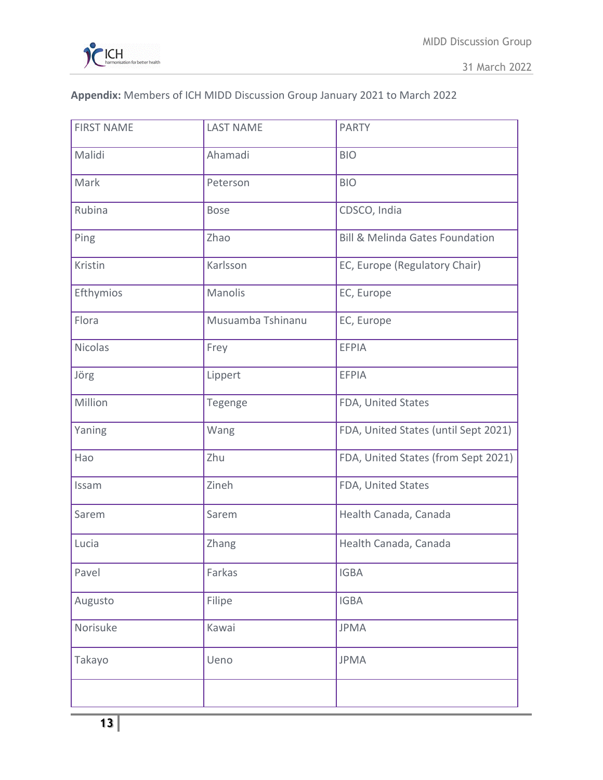

31 March 2022

# **Appendix:** Members of ICH MIDD Discussion Group January 2021 to March 2022

| <b>FIRST NAME</b> | <b>LAST NAME</b>  | <b>PARTY</b>                               |
|-------------------|-------------------|--------------------------------------------|
| Malidi            | Ahamadi           | <b>BIO</b>                                 |
| Mark              | Peterson          | <b>BIO</b>                                 |
| Rubina            | <b>Bose</b>       | CDSCO, India                               |
| Ping              | Zhao              | <b>Bill &amp; Melinda Gates Foundation</b> |
| Kristin           | Karlsson          | EC, Europe (Regulatory Chair)              |
| Efthymios         | Manolis           | EC, Europe                                 |
| Flora             | Musuamba Tshinanu | EC, Europe                                 |
| <b>Nicolas</b>    | Frey              | <b>EFPIA</b>                               |
| Jörg              | Lippert           | <b>EFPIA</b>                               |
| Million           | Tegenge           | FDA, United States                         |
| Yaning            | Wang              | FDA, United States (until Sept 2021)       |
| Hao               | Zhu               | FDA, United States (from Sept 2021)        |
| Issam             | Zineh             | FDA, United States                         |
| Sarem             | Sarem             | Health Canada, Canada                      |
| Lucia             | Zhang             | Health Canada, Canada                      |
| Pavel             | Farkas            | <b>IGBA</b>                                |
| Augusto           | Filipe            | <b>IGBA</b>                                |
| Norisuke          | Kawai             | <b>JPMA</b>                                |
| Takayo            | Ueno              | <b>JPMA</b>                                |
|                   |                   |                                            |